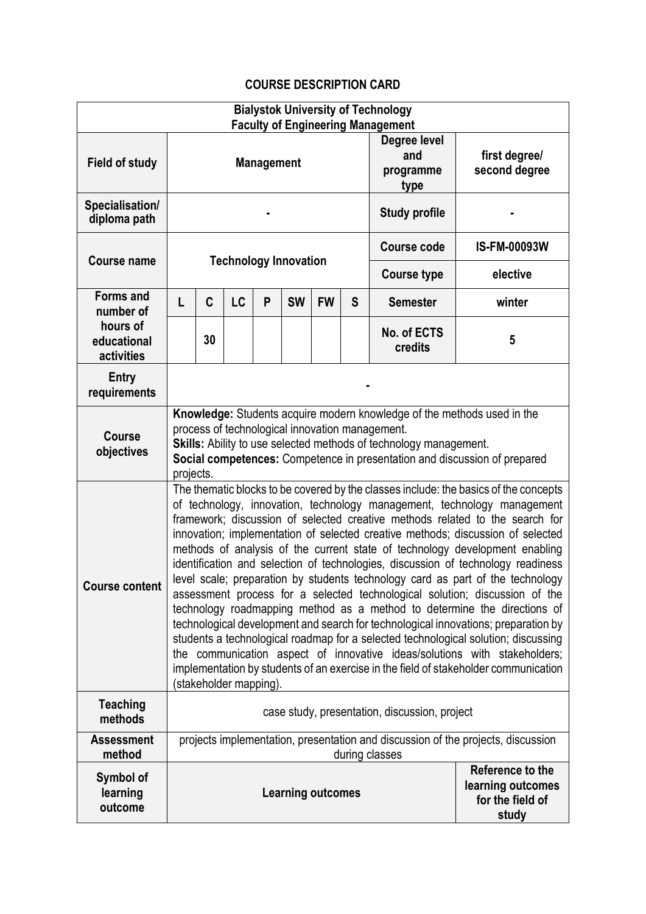## **COURSE DESCRIPTION CARD**

| <b>Bialystok University of Technology</b>                              |                                                                                                                                                                                                                                                                                                                                                                                                                                                                                                                                                                                                                                                                                                                                                                                                                                                                                                                                                                                                                                                                                                                              |    |    |                                                           |           |           |                                          |                                |                     |
|------------------------------------------------------------------------|------------------------------------------------------------------------------------------------------------------------------------------------------------------------------------------------------------------------------------------------------------------------------------------------------------------------------------------------------------------------------------------------------------------------------------------------------------------------------------------------------------------------------------------------------------------------------------------------------------------------------------------------------------------------------------------------------------------------------------------------------------------------------------------------------------------------------------------------------------------------------------------------------------------------------------------------------------------------------------------------------------------------------------------------------------------------------------------------------------------------------|----|----|-----------------------------------------------------------|-----------|-----------|------------------------------------------|--------------------------------|---------------------|
| <b>Field of study</b>                                                  | <b>Faculty of Engineering Management</b><br><b>Management</b>                                                                                                                                                                                                                                                                                                                                                                                                                                                                                                                                                                                                                                                                                                                                                                                                                                                                                                                                                                                                                                                                |    |    |                                                           |           |           | Degree level<br>and<br>programme<br>type | first degree/<br>second degree |                     |
| Specialisation/<br>diploma path                                        |                                                                                                                                                                                                                                                                                                                                                                                                                                                                                                                                                                                                                                                                                                                                                                                                                                                                                                                                                                                                                                                                                                                              |    |    |                                                           |           |           | <b>Study profile</b>                     |                                |                     |
| <b>Course name</b>                                                     | <b>Technology Innovation</b>                                                                                                                                                                                                                                                                                                                                                                                                                                                                                                                                                                                                                                                                                                                                                                                                                                                                                                                                                                                                                                                                                                 |    |    |                                                           |           |           |                                          | Course code                    | <b>IS-FM-00093W</b> |
|                                                                        |                                                                                                                                                                                                                                                                                                                                                                                                                                                                                                                                                                                                                                                                                                                                                                                                                                                                                                                                                                                                                                                                                                                              |    |    |                                                           |           |           |                                          | <b>Course type</b>             | elective            |
| <b>Forms and</b><br>number of<br>hours of<br>educational<br>activities | L                                                                                                                                                                                                                                                                                                                                                                                                                                                                                                                                                                                                                                                                                                                                                                                                                                                                                                                                                                                                                                                                                                                            | C  | LC | P                                                         | <b>SW</b> | <b>FW</b> | S                                        | <b>Semester</b>                | winter              |
|                                                                        |                                                                                                                                                                                                                                                                                                                                                                                                                                                                                                                                                                                                                                                                                                                                                                                                                                                                                                                                                                                                                                                                                                                              | 30 |    |                                                           |           |           |                                          | No. of ECTS<br>credits         | 5                   |
| <b>Entry</b><br>requirements                                           |                                                                                                                                                                                                                                                                                                                                                                                                                                                                                                                                                                                                                                                                                                                                                                                                                                                                                                                                                                                                                                                                                                                              |    |    |                                                           |           |           |                                          |                                |                     |
| <b>Course</b><br>objectives                                            | Knowledge: Students acquire modern knowledge of the methods used in the<br>process of technological innovation management.<br>Skills: Ability to use selected methods of technology management.<br>Social competences: Competence in presentation and discussion of prepared<br>projects.                                                                                                                                                                                                                                                                                                                                                                                                                                                                                                                                                                                                                                                                                                                                                                                                                                    |    |    |                                                           |           |           |                                          |                                |                     |
| <b>Course content</b>                                                  | The thematic blocks to be covered by the classes include: the basics of the concepts<br>of technology, innovation, technology management, technology management<br>framework; discussion of selected creative methods related to the search for<br>innovation; implementation of selected creative methods; discussion of selected<br>methods of analysis of the current state of technology development enabling<br>identification and selection of technologies, discussion of technology readiness<br>level scale; preparation by students technology card as part of the technology<br>assessment process for a selected technological solution; discussion of the<br>technology roadmapping method as a method to determine the directions of<br>technological development and search for technological innovations; preparation by<br>students a technological roadmap for a selected technological solution; discussing<br>the communication aspect of innovative ideas/solutions with stakeholders;<br>implementation by students of an exercise in the field of stakeholder communication<br>(stakeholder mapping). |    |    |                                                           |           |           |                                          |                                |                     |
| <b>Teaching</b><br>methods                                             | case study, presentation, discussion, project                                                                                                                                                                                                                                                                                                                                                                                                                                                                                                                                                                                                                                                                                                                                                                                                                                                                                                                                                                                                                                                                                |    |    |                                                           |           |           |                                          |                                |                     |
| <b>Assessment</b><br>method                                            | projects implementation, presentation and discussion of the projects, discussion<br>during classes                                                                                                                                                                                                                                                                                                                                                                                                                                                                                                                                                                                                                                                                                                                                                                                                                                                                                                                                                                                                                           |    |    |                                                           |           |           |                                          |                                |                     |
| Symbol of<br>learning<br>outcome                                       | <b>Learning outcomes</b><br>study                                                                                                                                                                                                                                                                                                                                                                                                                                                                                                                                                                                                                                                                                                                                                                                                                                                                                                                                                                                                                                                                                            |    |    | Reference to the<br>learning outcomes<br>for the field of |           |           |                                          |                                |                     |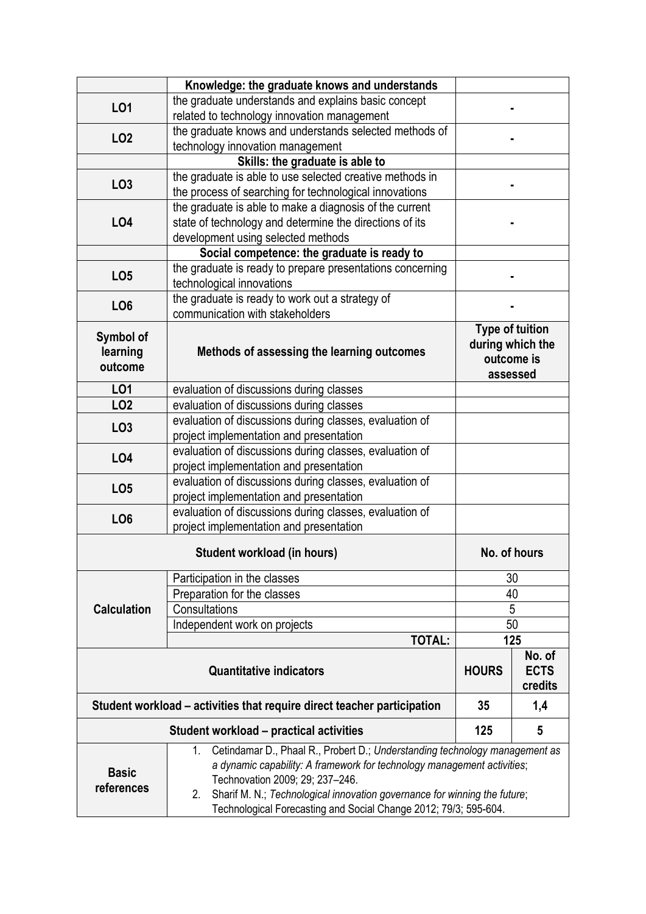|                                                                                                                                                                                                                                                                                                                                                                                      | Knowledge: the graduate knows and understands                                                      |                                                                      |  |  |  |  |  |
|--------------------------------------------------------------------------------------------------------------------------------------------------------------------------------------------------------------------------------------------------------------------------------------------------------------------------------------------------------------------------------------|----------------------------------------------------------------------------------------------------|----------------------------------------------------------------------|--|--|--|--|--|
| L01                                                                                                                                                                                                                                                                                                                                                                                  | the graduate understands and explains basic concept                                                |                                                                      |  |  |  |  |  |
|                                                                                                                                                                                                                                                                                                                                                                                      | related to technology innovation management                                                        |                                                                      |  |  |  |  |  |
|                                                                                                                                                                                                                                                                                                                                                                                      | the graduate knows and understands selected methods of                                             |                                                                      |  |  |  |  |  |
| LO <sub>2</sub>                                                                                                                                                                                                                                                                                                                                                                      | technology innovation management                                                                   |                                                                      |  |  |  |  |  |
|                                                                                                                                                                                                                                                                                                                                                                                      | Skills: the graduate is able to                                                                    |                                                                      |  |  |  |  |  |
| LO <sub>3</sub>                                                                                                                                                                                                                                                                                                                                                                      | the graduate is able to use selected creative methods in                                           |                                                                      |  |  |  |  |  |
|                                                                                                                                                                                                                                                                                                                                                                                      | the process of searching for technological innovations                                             |                                                                      |  |  |  |  |  |
|                                                                                                                                                                                                                                                                                                                                                                                      | the graduate is able to make a diagnosis of the current                                            |                                                                      |  |  |  |  |  |
| LO4                                                                                                                                                                                                                                                                                                                                                                                  | state of technology and determine the directions of its                                            |                                                                      |  |  |  |  |  |
|                                                                                                                                                                                                                                                                                                                                                                                      | development using selected methods                                                                 |                                                                      |  |  |  |  |  |
|                                                                                                                                                                                                                                                                                                                                                                                      | Social competence: the graduate is ready to                                                        |                                                                      |  |  |  |  |  |
|                                                                                                                                                                                                                                                                                                                                                                                      | the graduate is ready to prepare presentations concerning                                          |                                                                      |  |  |  |  |  |
| LO <sub>5</sub>                                                                                                                                                                                                                                                                                                                                                                      | technological innovations                                                                          |                                                                      |  |  |  |  |  |
|                                                                                                                                                                                                                                                                                                                                                                                      | the graduate is ready to work out a strategy of                                                    |                                                                      |  |  |  |  |  |
| LO <sub>6</sub>                                                                                                                                                                                                                                                                                                                                                                      | communication with stakeholders                                                                    |                                                                      |  |  |  |  |  |
| Symbol of<br>learning<br>outcome                                                                                                                                                                                                                                                                                                                                                     | Methods of assessing the learning outcomes                                                         | <b>Type of tuition</b><br>during which the<br>outcome is<br>assessed |  |  |  |  |  |
| LO1                                                                                                                                                                                                                                                                                                                                                                                  | evaluation of discussions during classes                                                           |                                                                      |  |  |  |  |  |
| LO <sub>2</sub>                                                                                                                                                                                                                                                                                                                                                                      | evaluation of discussions during classes                                                           |                                                                      |  |  |  |  |  |
| LO <sub>3</sub>                                                                                                                                                                                                                                                                                                                                                                      | evaluation of discussions during classes, evaluation of<br>project implementation and presentation |                                                                      |  |  |  |  |  |
| L04                                                                                                                                                                                                                                                                                                                                                                                  | evaluation of discussions during classes, evaluation of<br>project implementation and presentation |                                                                      |  |  |  |  |  |
| LO <sub>5</sub>                                                                                                                                                                                                                                                                                                                                                                      | evaluation of discussions during classes, evaluation of                                            |                                                                      |  |  |  |  |  |
|                                                                                                                                                                                                                                                                                                                                                                                      | project implementation and presentation                                                            |                                                                      |  |  |  |  |  |
| LO <sub>6</sub>                                                                                                                                                                                                                                                                                                                                                                      | evaluation of discussions during classes, evaluation of                                            |                                                                      |  |  |  |  |  |
|                                                                                                                                                                                                                                                                                                                                                                                      | project implementation and presentation                                                            |                                                                      |  |  |  |  |  |
|                                                                                                                                                                                                                                                                                                                                                                                      | No. of hours                                                                                       |                                                                      |  |  |  |  |  |
| <b>Calculation</b>                                                                                                                                                                                                                                                                                                                                                                   | Participation in the classes                                                                       | 30                                                                   |  |  |  |  |  |
|                                                                                                                                                                                                                                                                                                                                                                                      | Preparation for the classes                                                                        | 40                                                                   |  |  |  |  |  |
|                                                                                                                                                                                                                                                                                                                                                                                      | Consultations                                                                                      | 5                                                                    |  |  |  |  |  |
|                                                                                                                                                                                                                                                                                                                                                                                      | Independent work on projects                                                                       | 50                                                                   |  |  |  |  |  |
|                                                                                                                                                                                                                                                                                                                                                                                      | <b>TOTAL:</b>                                                                                      | 125                                                                  |  |  |  |  |  |
|                                                                                                                                                                                                                                                                                                                                                                                      | <b>HOURS</b>                                                                                       | No. of<br><b>ECTS</b><br>credits                                     |  |  |  |  |  |
| Student workload – activities that require direct teacher participation                                                                                                                                                                                                                                                                                                              | 35                                                                                                 | 1,4                                                                  |  |  |  |  |  |
|                                                                                                                                                                                                                                                                                                                                                                                      | 125                                                                                                | 5                                                                    |  |  |  |  |  |
| Cetindamar D., Phaal R., Probert D.; Understanding technology management as<br>1.<br>a dynamic capability: A framework for technology management activities;<br><b>Basic</b><br>Technovation 2009; 29; 237-246.<br>references<br>Sharif M. N.; Technological innovation governance for winning the future;<br>2.<br>Technological Forecasting and Social Change 2012; 79/3; 595-604. |                                                                                                    |                                                                      |  |  |  |  |  |